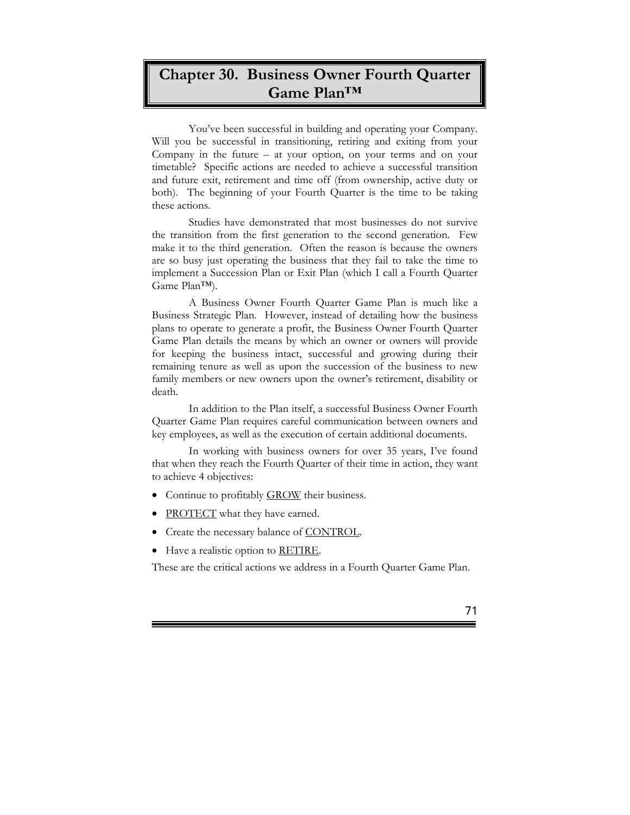## **Chapter 30. Business Owner Fourth Quarter Game Plan™**

You've been successful in building and operating your Company. Will you be successful in transitioning, retiring and exiting from your Company in the future – at your option, on your terms and on your timetable? Specific actions are needed to achieve a successful transition and future exit, retirement and time off (from ownership, active duty or both). The beginning of your Fourth Quarter is the time to be taking these actions.

Studies have demonstrated that most businesses do not survive the transition from the first generation to the second generation. Few make it to the third generation. Often the reason is because the owners are so busy just operating the business that they fail to take the time to implement a Succession Plan or Exit Plan (which I call a Fourth Quarter Game Plan™).

A Business Owner Fourth Quarter Game Plan is much like a Business Strategic Plan. However, instead of detailing how the business plans to operate to generate a profit, the Business Owner Fourth Quarter Game Plan details the means by which an owner or owners will provide for keeping the business intact, successful and growing during their remaining tenure as well as upon the succession of the business to new family members or new owners upon the owner's retirement, disability or death.

In addition to the Plan itself, a successful Business Owner Fourth Quarter Game Plan requires careful communication between owners and key employees, as well as the execution of certain additional documents.

In working with business owners for over 35 years, I've found that when they reach the Fourth Quarter of their time in action, they want to achieve 4 objectives:

- Continue to profitably **GROW** their business.
- PROTECT what they have earned.
- Create the necessary balance of CONTROL.
- Have a realistic option to **RETIRE**.

Ē

These are the critical actions we address in a Fourth Quarter Game Plan.

71